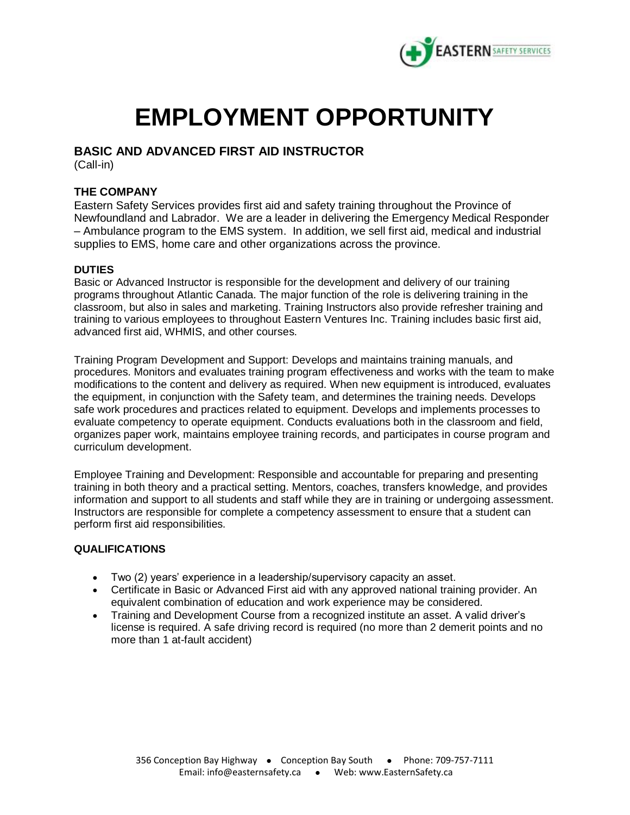

# **EMPLOYMENT OPPORTUNITY**

## **BASIC AND ADVANCED FIRST AID INSTRUCTOR**

(Call-in)

### **THE COMPANY**

Eastern Safety Services provides first aid and safety training throughout the Province of Newfoundland and Labrador. We are a leader in delivering the Emergency Medical Responder – Ambulance program to the EMS system. In addition, we sell first aid, medical and industrial supplies to EMS, home care and other organizations across the province.

#### **DUTIES**

Basic or Advanced Instructor is responsible for the development and delivery of our training programs throughout Atlantic Canada. The major function of the role is delivering training in the classroom, but also in sales and marketing. Training Instructors also provide refresher training and training to various employees to throughout Eastern Ventures Inc. Training includes basic first aid, advanced first aid, WHMIS, and other courses.

Training Program Development and Support: Develops and maintains training manuals, and procedures. Monitors and evaluates training program effectiveness and works with the team to make modifications to the content and delivery as required. When new equipment is introduced, evaluates the equipment, in conjunction with the Safety team, and determines the training needs. Develops safe work procedures and practices related to equipment. Develops and implements processes to evaluate competency to operate equipment. Conducts evaluations both in the classroom and field, organizes paper work, maintains employee training records, and participates in course program and curriculum development.

Employee Training and Development: Responsible and accountable for preparing and presenting training in both theory and a practical setting. Mentors, coaches, transfers knowledge, and provides information and support to all students and staff while they are in training or undergoing assessment. Instructors are responsible for complete a competency assessment to ensure that a student can perform first aid responsibilities.

#### *QUALIFICATIONS*

- Two (2) years' experience in a leadership/supervisory capacity an asset.
- Certificate in Basic or Advanced First aid with any approved national training provider. An equivalent combination of education and work experience may be considered.
- Training and Development Course from a recognized institute an asset. A valid driver's license is required. A safe driving record is required (no more than 2 demerit points and no more than 1 at-fault accident)